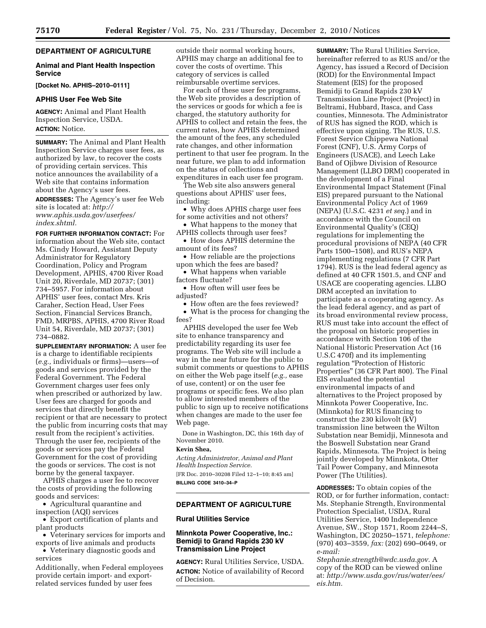# **DEPARTMENT OF AGRICULTURE**

## **Animal and Plant Health Inspection Service**

## **[Docket No. APHIS–2010–0111]**

## **APHIS User Fee Web Site**

**AGENCY:** Animal and Plant Health Inspection Service, USDA. **ACTION:** Notice.

**SUMMARY:** The Animal and Plant Health Inspection Service charges user fees, as authorized by law, to recover the costs of providing certain services. This notice announces the availability of a Web site that contains information about the Agency's user fees.

**ADDRESSES:** The Agency's user fee Web site is located at: *[http://](http://www.aphis.usda.gov/userfees/index.shtml)  [www.aphis.usda.gov/userfees/](http://www.aphis.usda.gov/userfees/index.shtml) [index.shtml.](http://www.aphis.usda.gov/userfees/index.shtml)* 

**FOR FURTHER INFORMATION CONTACT:** For information about the Web site, contact Ms. Cindy Howard, Assistant Deputy Administrator for Regulatory Coordination, Policy and Program Development, APHIS, 4700 River Road Unit 20, Riverdale, MD 20737; (301) 734–5957. For information about APHIS' user fees, contact Mrs. Kris Caraher, Section Head, User Fees Section, Financial Services Branch, FMD, MRPBS, APHIS, 4700 River Road Unit 54, Riverdale, MD 20737; (301) 734–0882.

**SUPPLEMENTARY INFORMATION:** A user fee is a charge to identifiable recipients (*e.g.,* individuals or firms)—users—of goods and services provided by the Federal Government. The Federal Government charges user fees only when prescribed or authorized by law. User fees are charged for goods and services that directly benefit the recipient or that are necessary to protect the public from incurring costs that may result from the recipient's activities. Through the user fee, recipients of the goods or services pay the Federal Government for the cost of providing the goods or services. The cost is not borne by the general taxpayer.

APHIS charges a user fee to recover the costs of providing the following goods and services:

• Agricultural quarantine and inspection (AQI) services

• Export certification of plants and plant products

• Veterinary services for imports and exports of live animals and products

• Veterinary diagnostic goods and services

Additionally, when Federal employees provide certain import- and exportrelated services funded by user fees

outside their normal working hours, APHIS may charge an additional fee to cover the costs of overtime. This category of services is called reimbursable overtime services.

For each of these user fee programs, the Web site provides a description of the services or goods for which a fee is charged, the statutory authority for APHIS to collect and retain the fees, the current rates, how APHIS determined the amount of the fees, any scheduled rate changes, and other information pertinent to that user fee program. In the near future, we plan to add information on the status of collections and expenditures in each user fee program.

The Web site also answers general questions about APHIS' user fees, including:

• Why does APHIS charge user fees for some activities and not others?

• What happens to the money that

APHIS collects through user fees? • How does APHIS determine the amount of its fees?

• How reliable are the projections upon which the fees are based?

• What happens when variable factors fluctuate?

• How often will user fees be adjusted?

• How often are the fees reviewed?

• What is the process for changing the fees?

APHIS developed the user fee Web site to enhance transparency and predictability regarding its user fee programs. The Web site will include a way in the near future for the public to submit comments or questions to APHIS on either the Web page itself (*e.g.,* ease of use, content) or on the user fee programs or specific fees. We also plan to allow interested members of the public to sign up to receive notifications when changes are made to the user fee Web page.

Done in Washington, DC, this 16th day of November 2010.

#### **Kevin Shea,**

*Acting Administrator, Animal and Plant Health Inspection Service.*  [FR Doc. 2010–30208 Filed 12–1–10; 8:45 am] **BILLING CODE 3410–34–P** 

## **DEPARTMENT OF AGRICULTURE**

# **Rural Utilities Service**

## **Minnkota Power Cooperative, Inc.: Bemidji to Grand Rapids 230 kV Transmission Line Project**

**AGENCY:** Rural Utilities Service, USDA. **ACTION:** Notice of availability of Record of Decision.

**SUMMARY:** The Rural Utilities Service, hereinafter referred to as RUS and/or the Agency, has issued a Record of Decision (ROD) for the Environmental Impact Statement (EIS) for the proposed Bemidji to Grand Rapids 230 kV Transmission Line Project (Project) in Beltrami, Hubbard, Itasca, and Cass counties, Minnesota. The Administrator of RUS has signed the ROD, which is effective upon signing. The RUS, U.S. Forest Service Chippewa National Forest (CNF), U.S. Army Corps of Engineers (USACE), and Leech Lake Band of Ojibwe Division of Resource Management (LLBO DRM) cooperated in the development of a Final Environmental Impact Statement (Final EIS) prepared pursuant to the National Environmental Policy Act of 1969 (NEPA) (U.S.C. 4231 *et seq.*) and in accordance with the Council on Environmental Quality's (CEQ) regulations for implementing the procedural provisions of NEPA (40 CFR Parts 1500–1508), and RUS's NEPA implementing regulations (7 CFR Part 1794). RUS is the lead federal agency as defined at 40 CFR 1501.5, and CNF and USACE are cooperating agencies. LLBO DRM accepted an invitation to participate as a cooperating agency. As the lead federal agency, and as part of its broad environmental review process, RUS must take into account the effect of the proposal on historic properties in accordance with Section 106 of the National Historic Preservation Act (16 U.S.C 470f) and its implementing regulation "Protection of Historic Properties'' (36 CFR Part 800). The Final EIS evaluated the potential environmental impacts of and alternatives to the Project proposed by Minnkota Power Cooperative, Inc. (Minnkota) for RUS financing to construct the 230 kilovolt (kV) transmission line between the Wilton Substation near Bemidji, Minnesota and the Boswell Substation near Grand Rapids, Minnesota. The Project is being jointly developed by Minnkota, Otter Tail Power Company, and Minnesota Power (The Utilities).

**ADDRESSES:** To obtain copies of the ROD, or for further information, contact: Ms. Stephanie Strength, Environmental Protection Specialist, USDA, Rural Utilities Service, 1400 Independence Avenue, SW., Stop 1571, Room 2244–S, Washington, DC 20250–1571, *telephone:*  (970) 403–3559, *fax:* (202) 690–0649, or *e-mail:* 

*[Stephanie.strength@wdc.usda.gov.](mailto:Stephanie.strength@wdc.usda.gov)* A copy of the ROD can be viewed online at: *[http://www.usda.gov/rus/water/ees/](http://www.usda.gov/rus/water/ees/eis.htm) [eis.htm.](http://www.usda.gov/rus/water/ees/eis.htm)*